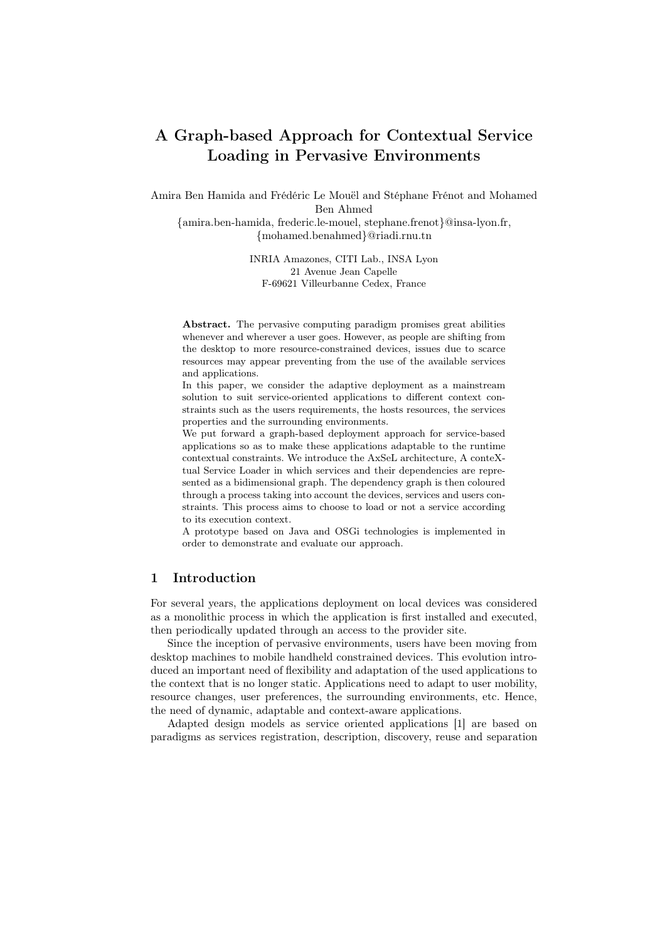# A Graph-based Approach for Contextual Service Loading in Pervasive Environments

Amira Ben Hamida and Frédéric Le Mouël and Stéphane Frénot and Mohamed Ben Ahmed

{amira.ben-hamida, frederic.le-mouel, stephane.frenot}@insa-lyon.fr, {mohamed.benahmed}@riadi.rnu.tn

> INRIA Amazones, CITI Lab., INSA Lyon 21 Avenue Jean Capelle F-69621 Villeurbanne Cedex, France

Abstract. The pervasive computing paradigm promises great abilities whenever and wherever a user goes. However, as people are shifting from the desktop to more resource-constrained devices, issues due to scarce resources may appear preventing from the use of the available services and applications.

In this paper, we consider the adaptive deployment as a mainstream solution to suit service-oriented applications to different context constraints such as the users requirements, the hosts resources, the services properties and the surrounding environments.

We put forward a graph-based deployment approach for service-based applications so as to make these applications adaptable to the runtime contextual constraints. We introduce the AxSeL architecture, A conteXtual Service Loader in which services and their dependencies are represented as a bidimensional graph. The dependency graph is then coloured through a process taking into account the devices, services and users constraints. This process aims to choose to load or not a service according to its execution context.

A prototype based on Java and OSGi technologies is implemented in order to demonstrate and evaluate our approach.

# 1 Introduction

For several years, the applications deployment on local devices was considered as a monolithic process in which the application is first installed and executed, then periodically updated through an access to the provider site.

Since the inception of pervasive environments, users have been moving from desktop machines to mobile handheld constrained devices. This evolution introduced an important need of flexibility and adaptation of the used applications to the context that is no longer static. Applications need to adapt to user mobility, resource changes, user preferences, the surrounding environments, etc. Hence, the need of dynamic, adaptable and context-aware applications.

Adapted design models as service oriented applications [1] are based on paradigms as services registration, description, discovery, reuse and separation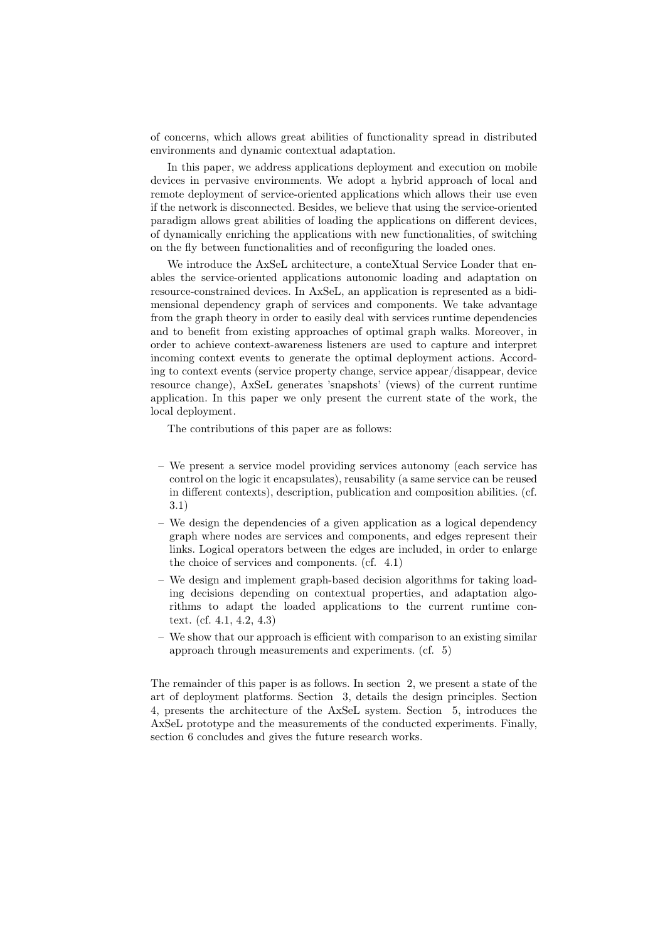of concerns, which allows great abilities of functionality spread in distributed environments and dynamic contextual adaptation.

In this paper, we address applications deployment and execution on mobile devices in pervasive environments. We adopt a hybrid approach of local and remote deployment of service-oriented applications which allows their use even if the network is disconnected. Besides, we believe that using the service-oriented paradigm allows great abilities of loading the applications on different devices, of dynamically enriching the applications with new functionalities, of switching on the fly between functionalities and of reconfiguring the loaded ones.

We introduce the AxSeL architecture, a conteXtual Service Loader that enables the service-oriented applications autonomic loading and adaptation on resource-constrained devices. In AxSeL, an application is represented as a bidimensional dependency graph of services and components. We take advantage from the graph theory in order to easily deal with services runtime dependencies and to benefit from existing approaches of optimal graph walks. Moreover, in order to achieve context-awareness listeners are used to capture and interpret incoming context events to generate the optimal deployment actions. According to context events (service property change, service appear/disappear, device resource change), AxSeL generates 'snapshots' (views) of the current runtime application. In this paper we only present the current state of the work, the local deployment.

The contributions of this paper are as follows:

- We present a service model providing services autonomy (each service has control on the logic it encapsulates), reusability (a same service can be reused in different contexts), description, publication and composition abilities. (cf. 3.1)
- We design the dependencies of a given application as a logical dependency graph where nodes are services and components, and edges represent their links. Logical operators between the edges are included, in order to enlarge the choice of services and components. (cf. 4.1)
- We design and implement graph-based decision algorithms for taking loading decisions depending on contextual properties, and adaptation algorithms to adapt the loaded applications to the current runtime context. (cf. 4.1, 4.2, 4.3)
- We show that our approach is efficient with comparison to an existing similar approach through measurements and experiments. (cf. 5)

The remainder of this paper is as follows. In section 2, we present a state of the art of deployment platforms. Section 3, details the design principles. Section 4, presents the architecture of the AxSeL system. Section 5, introduces the AxSeL prototype and the measurements of the conducted experiments. Finally, section 6 concludes and gives the future research works.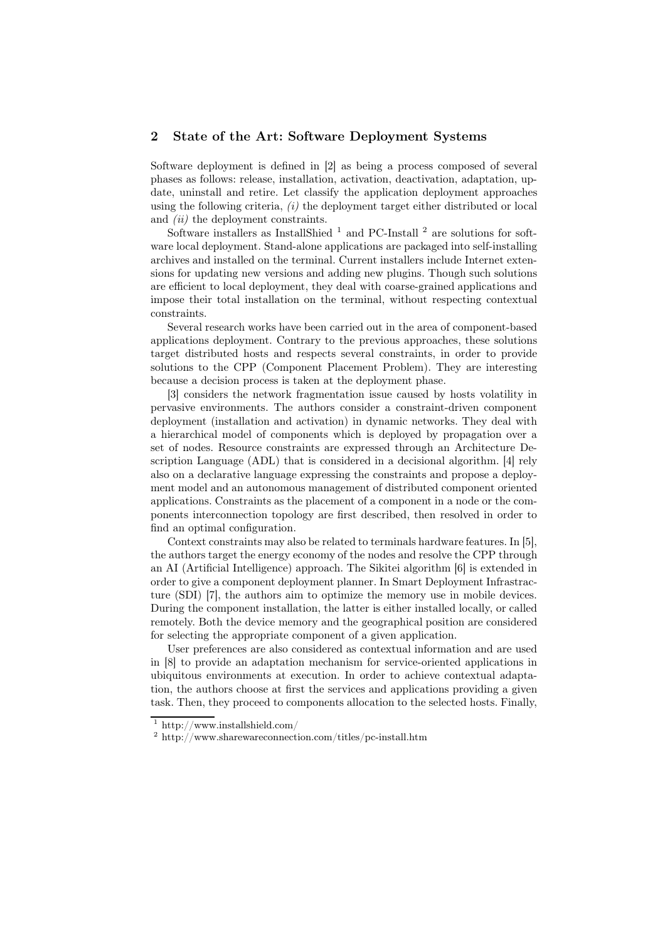## 2 State of the Art: Software Deployment Systems

Software deployment is defined in [2] as being a process composed of several phases as follows: release, installation, activation, deactivation, adaptation, update, uninstall and retire. Let classify the application deployment approaches using the following criteria,  $(i)$  the deployment target either distributed or local and *(ii)* the deployment constraints.

Software installers as InstallShied  $<sup>1</sup>$  and PC-Install  $<sup>2</sup>$  are solutions for soft-</sup></sup> ware local deployment. Stand-alone applications are packaged into self-installing archives and installed on the terminal. Current installers include Internet extensions for updating new versions and adding new plugins. Though such solutions are efficient to local deployment, they deal with coarse-grained applications and impose their total installation on the terminal, without respecting contextual constraints.

Several research works have been carried out in the area of component-based applications deployment. Contrary to the previous approaches, these solutions target distributed hosts and respects several constraints, in order to provide solutions to the CPP (Component Placement Problem). They are interesting because a decision process is taken at the deployment phase.

[3] considers the network fragmentation issue caused by hosts volatility in pervasive environments. The authors consider a constraint-driven component deployment (installation and activation) in dynamic networks. They deal with a hierarchical model of components which is deployed by propagation over a set of nodes. Resource constraints are expressed through an Architecture Description Language (ADL) that is considered in a decisional algorithm. [4] rely also on a declarative language expressing the constraints and propose a deployment model and an autonomous management of distributed component oriented applications. Constraints as the placement of a component in a node or the components interconnection topology are first described, then resolved in order to find an optimal configuration.

Context constraints may also be related to terminals hardware features. In [5], the authors target the energy economy of the nodes and resolve the CPP through an AI (Artificial Intelligence) approach. The Sikitei algorithm [6] is extended in order to give a component deployment planner. In Smart Deployment Infrastracture (SDI) [7], the authors aim to optimize the memory use in mobile devices. During the component installation, the latter is either installed locally, or called remotely. Both the device memory and the geographical position are considered for selecting the appropriate component of a given application.

User preferences are also considered as contextual information and are used in [8] to provide an adaptation mechanism for service-oriented applications in ubiquitous environments at execution. In order to achieve contextual adaptation, the authors choose at first the services and applications providing a given task. Then, they proceed to components allocation to the selected hosts. Finally,

<sup>1</sup> http://www.installshield.com/

 $^2$ http://www.sharewareconnection.com/titles/pc-install.htm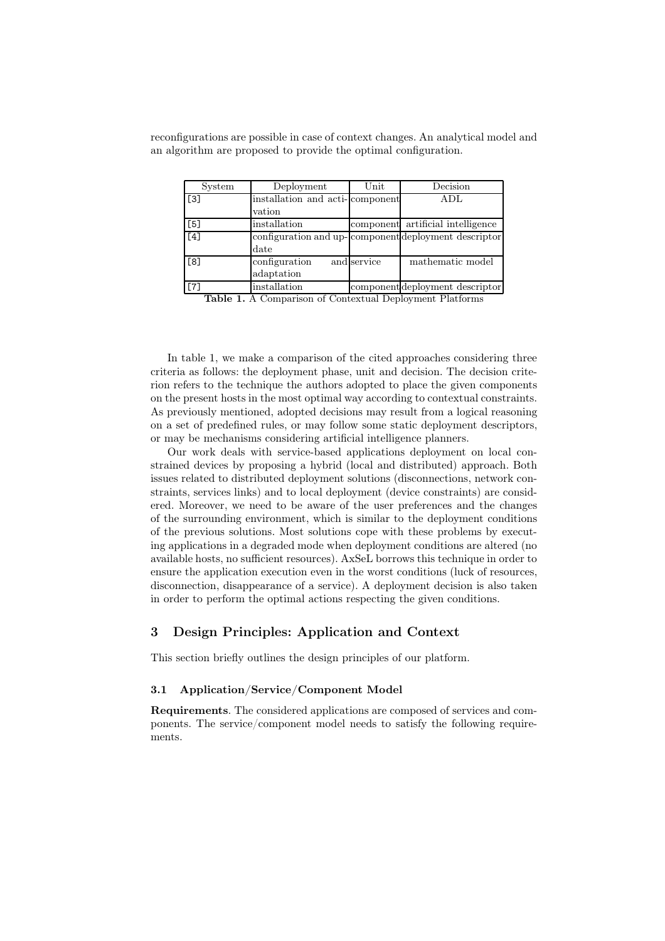reconfigurations are possible in case of context changes. An analytical model and an algorithm are proposed to provide the optimal configuration.

| System            | Deployment                      | $\operatorname{Unit}$ | Decision                                             |
|-------------------|---------------------------------|-----------------------|------------------------------------------------------|
| $[3]$             | installation and acti-component |                       | ADL                                                  |
|                   | vation                          |                       |                                                      |
| $[5]$             | installation                    |                       | component artificial intelligence                    |
| $[4]$             |                                 |                       | configuration and up-component deployment descriptor |
|                   | date                            |                       |                                                      |
| [8]               | configuration                   | and service           | mathematic model                                     |
|                   | adaptation                      |                       |                                                      |
| $\lceil 7 \rceil$ | installation                    |                       | component deployment descriptor                      |

Table 1. A Comparison of Contextual Deployment Platforms

In table 1, we make a comparison of the cited approaches considering three criteria as follows: the deployment phase, unit and decision. The decision criterion refers to the technique the authors adopted to place the given components on the present hosts in the most optimal way according to contextual constraints. As previously mentioned, adopted decisions may result from a logical reasoning on a set of predefined rules, or may follow some static deployment descriptors, or may be mechanisms considering artificial intelligence planners.

Our work deals with service-based applications deployment on local constrained devices by proposing a hybrid (local and distributed) approach. Both issues related to distributed deployment solutions (disconnections, network constraints, services links) and to local deployment (device constraints) are considered. Moreover, we need to be aware of the user preferences and the changes of the surrounding environment, which is similar to the deployment conditions of the previous solutions. Most solutions cope with these problems by executing applications in a degraded mode when deployment conditions are altered (no available hosts, no sufficient resources). AxSeL borrows this technique in order to ensure the application execution even in the worst conditions (luck of resources, disconnection, disappearance of a service). A deployment decision is also taken in order to perform the optimal actions respecting the given conditions.

# 3 Design Principles: Application and Context

This section briefly outlines the design principles of our platform.

## 3.1 Application/Service/Component Model

Requirements. The considered applications are composed of services and components. The service/component model needs to satisfy the following requirements.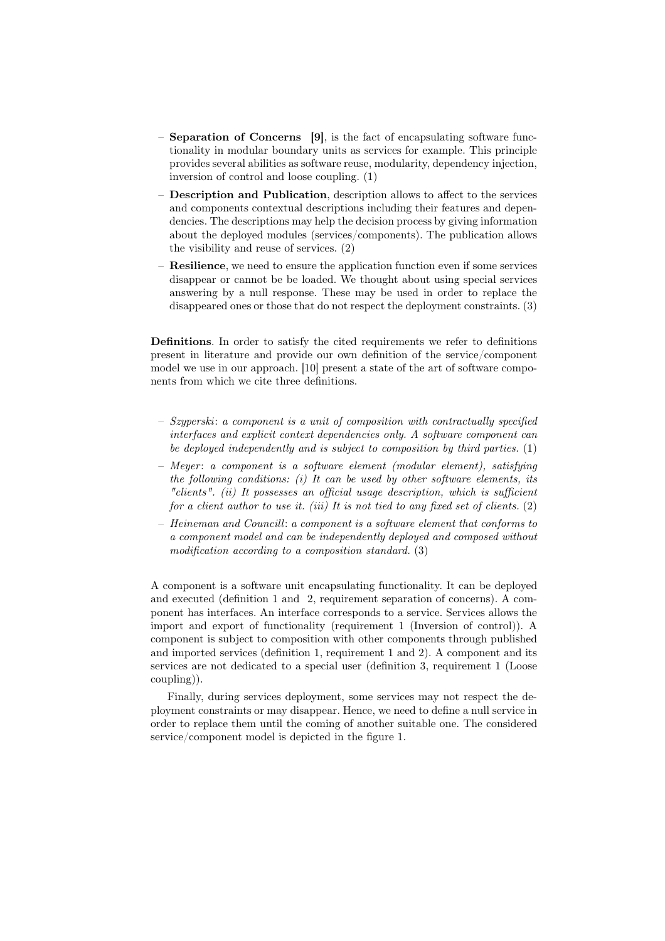- **Separation of Concerns** [9], is the fact of encapsulating software functionality in modular boundary units as services for example. This principle provides several abilities as software reuse, modularity, dependency injection, inversion of control and loose coupling. (1)
- Description and Publication, description allows to affect to the services and components contextual descriptions including their features and dependencies. The descriptions may help the decision process by giving information about the deployed modules (services/components). The publication allows the visibility and reuse of services. (2)
- Resilience, we need to ensure the application function even if some services disappear or cannot be be loaded. We thought about using special services answering by a null response. These may be used in order to replace the disappeared ones or those that do not respect the deployment constraints. (3)

Definitions. In order to satisfy the cited requirements we refer to definitions present in literature and provide our own definition of the service/component model we use in our approach. [10] present a state of the art of software components from which we cite three definitions.

- $-$  Szyperski: a component is a unit of composition with contractually specified interfaces and explicit context dependencies only. A software component can be deployed independently and is subject to composition by third parties.  $(1)$
- $-$  Meyer: a component is a software element (modular element), satisfying the following conditions:  $(i)$  It can be used by other software elements, its "clients". (ii) It possesses an official usage description, which is sufficient for a client author to use it. (iii) It is not tied to any fixed set of clients.  $(2)$
- Heineman and Councill: a component is a software element that conforms to a component model and can be independently deployed and composed without modification according to a composition standard. (3)

A component is a software unit encapsulating functionality. It can be deployed and executed (definition 1 and 2, requirement separation of concerns). A component has interfaces. An interface corresponds to a service. Services allows the import and export of functionality (requirement 1 (Inversion of control)). A component is subject to composition with other components through published and imported services (definition 1, requirement 1 and 2). A component and its services are not dedicated to a special user (definition 3, requirement 1 (Loose coupling)).

Finally, during services deployment, some services may not respect the deployment constraints or may disappear. Hence, we need to define a null service in order to replace them until the coming of another suitable one. The considered service/component model is depicted in the figure 1.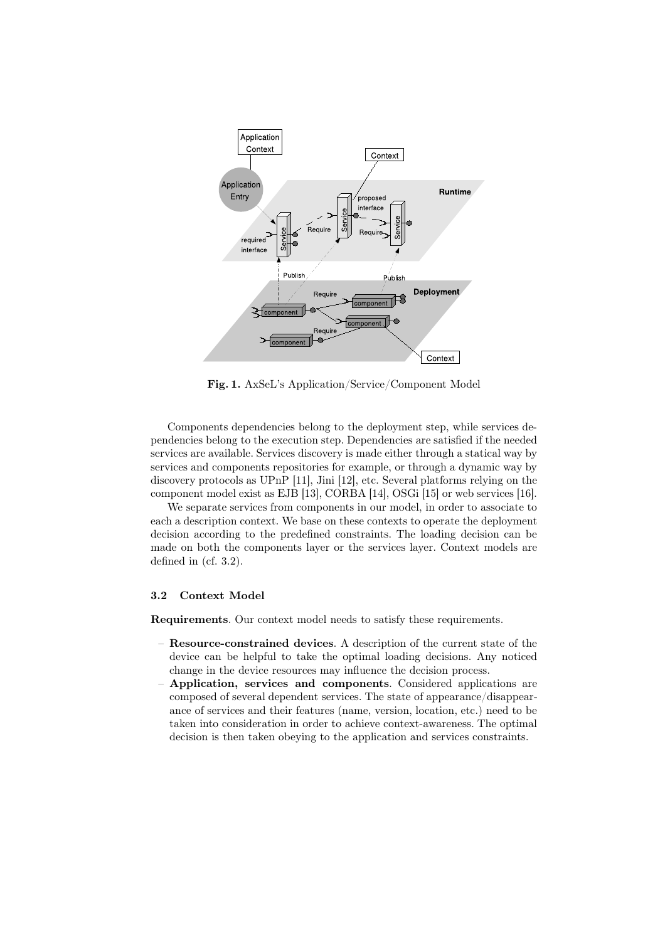

Fig. 1. AxSeL's Application/Service/Component Model

Components dependencies belong to the deployment step, while services dependencies belong to the execution step. Dependencies are satisfied if the needed services are available. Services discovery is made either through a statical way by services and components repositories for example, or through a dynamic way by discovery protocols as UPnP [11], Jini [12], etc. Several platforms relying on the component model exist as EJB [13], CORBA [14], OSGi [15] or web services [16].

We separate services from components in our model, in order to associate to each a description context. We base on these contexts to operate the deployment decision according to the predefined constraints. The loading decision can be made on both the components layer or the services layer. Context models are defined in (cf. 3.2).

## 3.2 Context Model

Requirements. Our context model needs to satisfy these requirements.

- Resource-constrained devices. A description of the current state of the device can be helpful to take the optimal loading decisions. Any noticed change in the device resources may influence the decision process.
- Application, services and components. Considered applications are composed of several dependent services. The state of appearance/disappearance of services and their features (name, version, location, etc.) need to be taken into consideration in order to achieve context-awareness. The optimal decision is then taken obeying to the application and services constraints.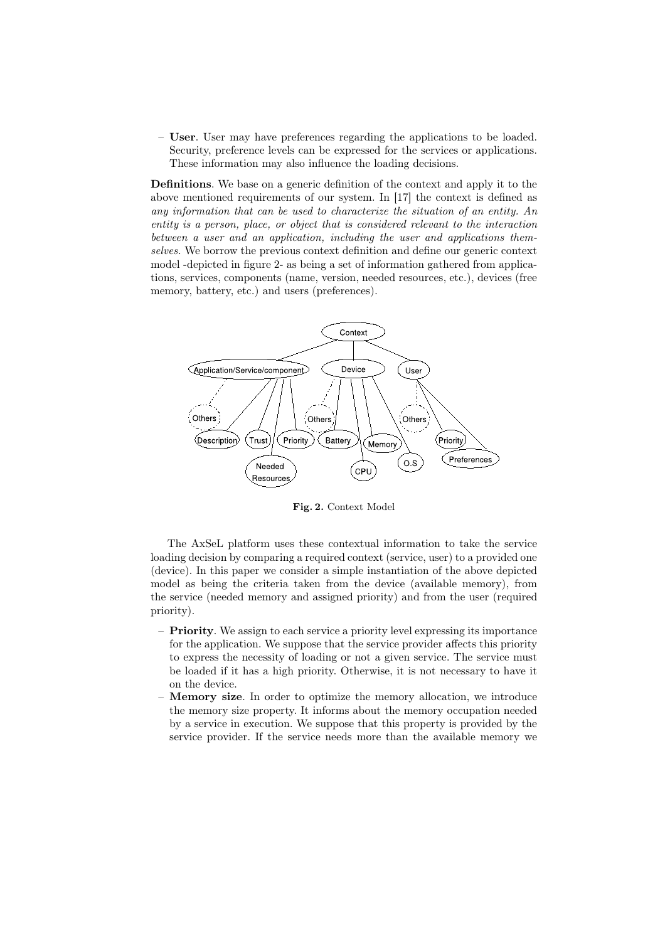User. User may have preferences regarding the applications to be loaded. Security, preference levels can be expressed for the services or applications. These information may also influence the loading decisions.

Definitions. We base on a generic definition of the context and apply it to the above mentioned requirements of our system. In [17] the context is defined as any information that can be used to characterize the situation of an entity. An entity is a person, place, or object that is considered relevant to the interaction between a user and an application, including the user and applications themselves. We borrow the previous context definition and define our generic context model -depicted in figure 2- as being a set of information gathered from applications, services, components (name, version, needed resources, etc.), devices (free memory, battery, etc.) and users (preferences).



Fig. 2. Context Model

The AxSeL platform uses these contextual information to take the service loading decision by comparing a required context (service, user) to a provided one (device). In this paper we consider a simple instantiation of the above depicted model as being the criteria taken from the device (available memory), from the service (needed memory and assigned priority) and from the user (required priority).

- Priority. We assign to each service a priority level expressing its importance for the application. We suppose that the service provider affects this priority to express the necessity of loading or not a given service. The service must be loaded if it has a high priority. Otherwise, it is not necessary to have it on the device.
- Memory size. In order to optimize the memory allocation, we introduce the memory size property. It informs about the memory occupation needed by a service in execution. We suppose that this property is provided by the service provider. If the service needs more than the available memory we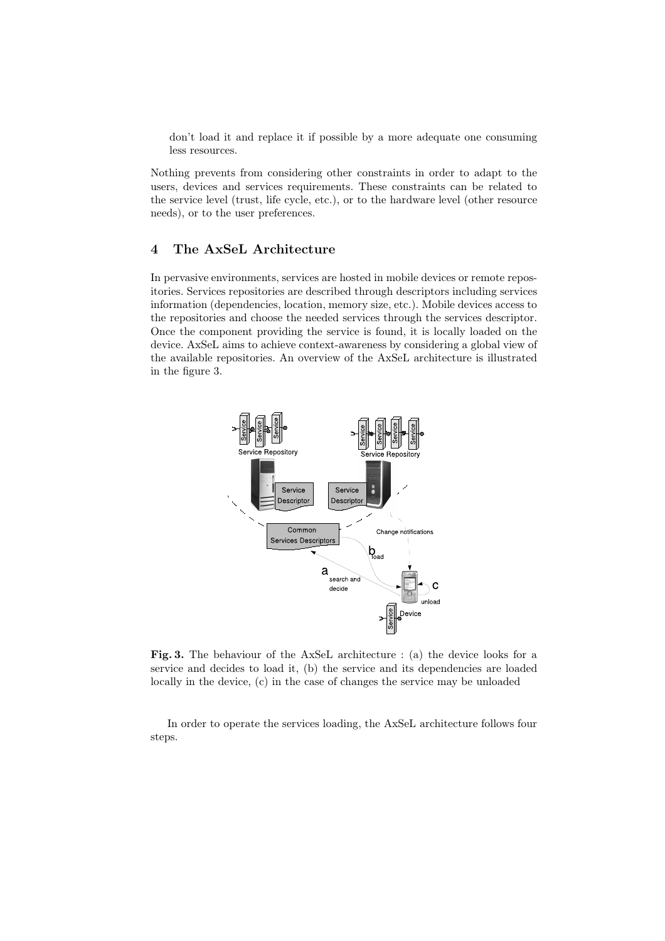don't load it and replace it if possible by a more adequate one consuming less resources.

Nothing prevents from considering other constraints in order to adapt to the users, devices and services requirements. These constraints can be related to the service level (trust, life cycle, etc.), or to the hardware level (other resource needs), or to the user preferences.

# 4 The AxSeL Architecture

In pervasive environments, services are hosted in mobile devices or remote repositories. Services repositories are described through descriptors including services information (dependencies, location, memory size, etc.). Mobile devices access to the repositories and choose the needed services through the services descriptor. Once the component providing the service is found, it is locally loaded on the device. AxSeL aims to achieve context-awareness by considering a global view of the available repositories. An overview of the AxSeL architecture is illustrated in the figure 3.



Fig. 3. The behaviour of the AxSeL architecture : (a) the device looks for a service and decides to load it, (b) the service and its dependencies are loaded locally in the device, (c) in the case of changes the service may be unloaded

In order to operate the services loading, the AxSeL architecture follows four steps.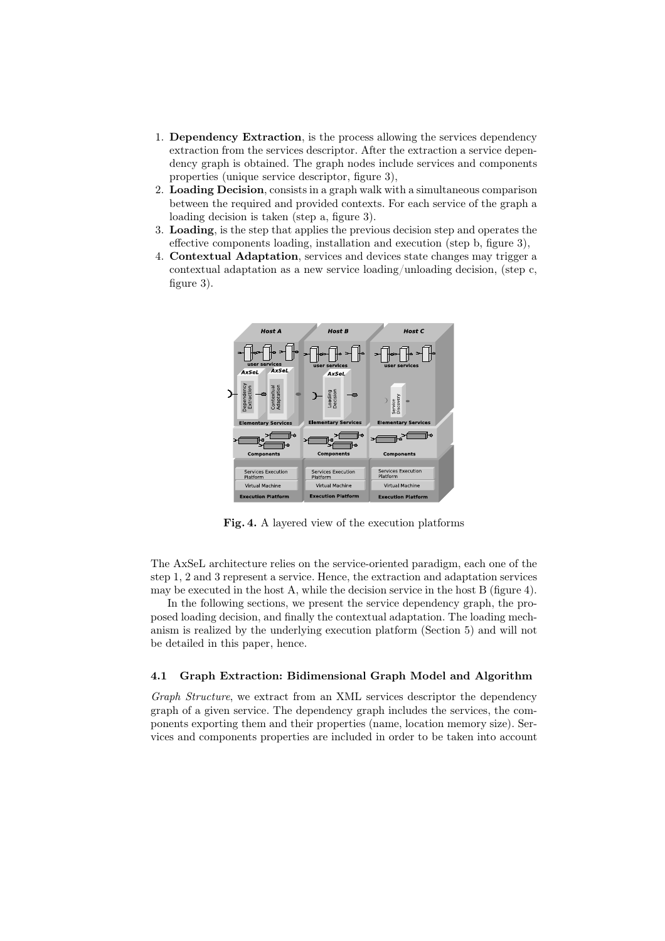- 1. Dependency Extraction, is the process allowing the services dependency extraction from the services descriptor. After the extraction a service dependency graph is obtained. The graph nodes include services and components properties (unique service descriptor, figure 3),
- 2. Loading Decision, consists in a graph walk with a simultaneous comparison between the required and provided contexts. For each service of the graph a loading decision is taken (step a, figure 3).
- 3. Loading, is the step that applies the previous decision step and operates the effective components loading, installation and execution (step b, figure 3),
- 4. Contextual Adaptation, services and devices state changes may trigger a contextual adaptation as a new service loading/unloading decision, (step c, figure 3).



Fig. 4. A layered view of the execution platforms

The AxSeL architecture relies on the service-oriented paradigm, each one of the step 1, 2 and 3 represent a service. Hence, the extraction and adaptation services may be executed in the host A, while the decision service in the host B (figure 4).

In the following sections, we present the service dependency graph, the proposed loading decision, and finally the contextual adaptation. The loading mechanism is realized by the underlying execution platform (Section 5) and will not be detailed in this paper, hence.

#### 4.1 Graph Extraction: Bidimensional Graph Model and Algorithm

Graph Structure, we extract from an XML services descriptor the dependency graph of a given service. The dependency graph includes the services, the components exporting them and their properties (name, location memory size). Services and components properties are included in order to be taken into account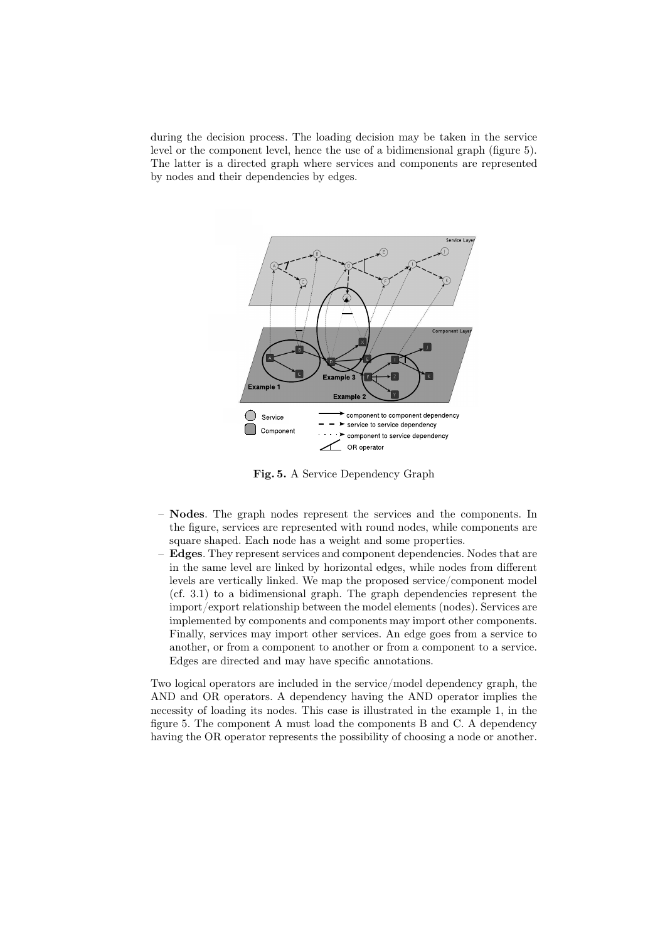during the decision process. The loading decision may be taken in the service level or the component level, hence the use of a bidimensional graph (figure 5). The latter is a directed graph where services and components are represented by nodes and their dependencies by edges.



Fig. 5. A Service Dependency Graph

- Nodes. The graph nodes represent the services and the components. In the figure, services are represented with round nodes, while components are square shaped. Each node has a weight and some properties.
- Edges. They represent services and component dependencies. Nodes that are in the same level are linked by horizontal edges, while nodes from different levels are vertically linked. We map the proposed service/component model (cf. 3.1) to a bidimensional graph. The graph dependencies represent the import/export relationship between the model elements (nodes). Services are implemented by components and components may import other components. Finally, services may import other services. An edge goes from a service to another, or from a component to another or from a component to a service. Edges are directed and may have specific annotations.

Two logical operators are included in the service/model dependency graph, the AND and OR operators. A dependency having the AND operator implies the necessity of loading its nodes. This case is illustrated in the example 1, in the figure 5. The component A must load the components B and C. A dependency having the OR operator represents the possibility of choosing a node or another.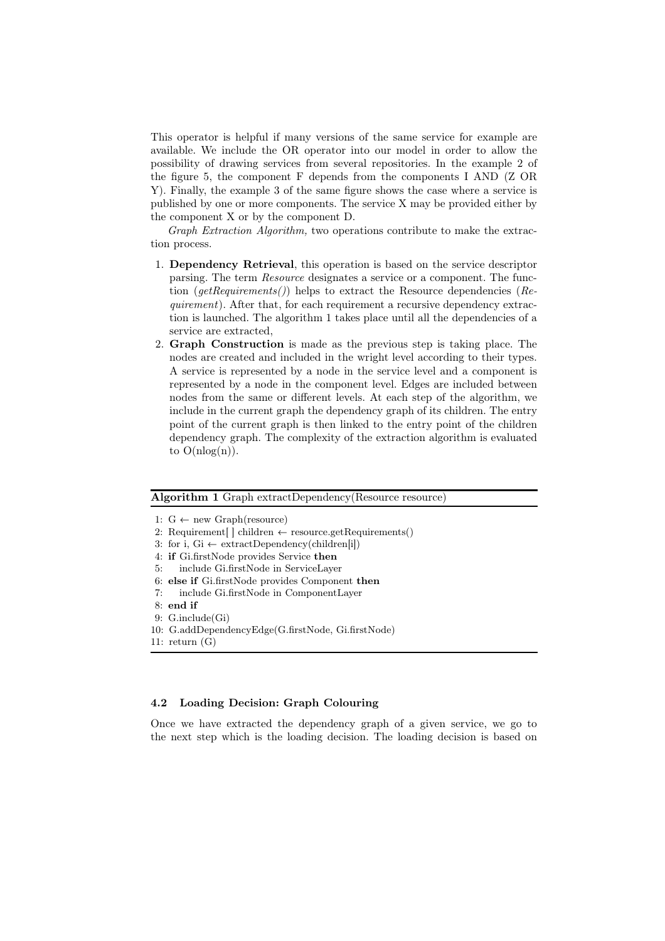This operator is helpful if many versions of the same service for example are available. We include the OR operator into our model in order to allow the possibility of drawing services from several repositories. In the example 2 of the figure 5, the component F depends from the components I AND (Z OR Y). Finally, the example 3 of the same figure shows the case where a service is published by one or more components. The service X may be provided either by the component X or by the component D.

Graph Extraction Algorithm, two operations contribute to make the extraction process.

- 1. Dependency Retrieval, this operation is based on the service descriptor parsing. The term Resource designates a service or a component. The function  $(\text{getRequirements}))$  helps to extract the Resource dependencies (Requirement). After that, for each requirement a recursive dependency extraction is launched. The algorithm 1 takes place until all the dependencies of a service are extracted,
- 2. Graph Construction is made as the previous step is taking place. The nodes are created and included in the wright level according to their types. A service is represented by a node in the service level and a component is represented by a node in the component level. Edges are included between nodes from the same or different levels. At each step of the algorithm, we include in the current graph the dependency graph of its children. The entry point of the current graph is then linked to the entry point of the children dependency graph. The complexity of the extraction algorithm is evaluated to  $O(nlog(n))$ .

|  |  | <b>Algorithm 1 Graph extractDependency (Resource resource)</b> |  |  |
|--|--|----------------------------------------------------------------|--|--|
|--|--|----------------------------------------------------------------|--|--|

<sup>1:</sup>  $G \leftarrow new Graph(resource)$ 

- 2: Requirement  $\vert$  children  $\leftarrow$  resource.getRequirements()
- 3: for i,  $Gi \leftarrow extractDependency(children[i])$
- 4: if Gi.firstNode provides Service then
- 5: include Gi.firstNode in ServiceLayer
- 6: else if Gi.firstNode provides Component then
- 7: include Gi.firstNode in ComponentLayer
- 8: end if
- 9: G.include(Gi)
- 10: G.addDependencyEdge(G.firstNode, Gi.firstNode)
- 11: return (G)

# 4.2 Loading Decision: Graph Colouring

Once we have extracted the dependency graph of a given service, we go to the next step which is the loading decision. The loading decision is based on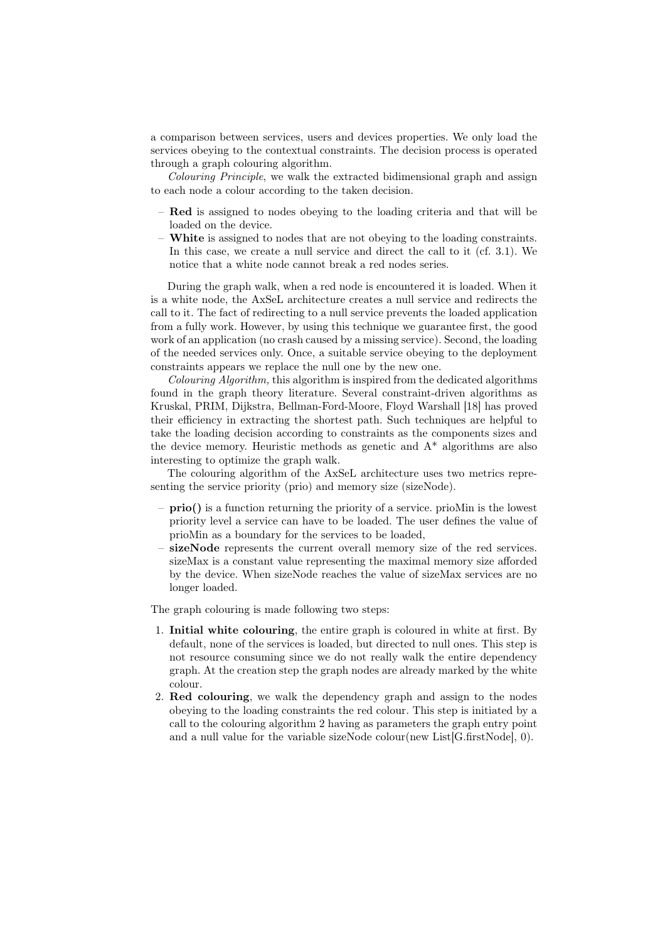a comparison between services, users and devices properties. We only load the services obeying to the contextual constraints. The decision process is operated through a graph colouring algorithm.

Colouring Principle, we walk the extracted bidimensional graph and assign to each node a colour according to the taken decision.

- Red is assigned to nodes obeying to the loading criteria and that will be loaded on the device.
- White is assigned to nodes that are not obeying to the loading constraints. In this case, we create a null service and direct the call to it (cf. 3.1). We notice that a white node cannot break a red nodes series.

During the graph walk, when a red node is encountered it is loaded. When it is a white node, the AxSeL architecture creates a null service and redirects the call to it. The fact of redirecting to a null service prevents the loaded application from a fully work. However, by using this technique we guarantee first, the good work of an application (no crash caused by a missing service). Second, the loading of the needed services only. Once, a suitable service obeying to the deployment constraints appears we replace the null one by the new one.

Colouring Algorithm, this algorithm is inspired from the dedicated algorithms found in the graph theory literature. Several constraint-driven algorithms as Kruskal, PRIM, Dijkstra, Bellman-Ford-Moore, Floyd Warshall [18] has proved their efficiency in extracting the shortest path. Such techniques are helpful to take the loading decision according to constraints as the components sizes and the device memory. Heuristic methods as genetic and  $A^*$  algorithms are also interesting to optimize the graph walk.

The colouring algorithm of the AxSeL architecture uses two metrics representing the service priority (prio) and memory size (sizeNode).

- prio() is a function returning the priority of a service. prioMin is the lowest priority level a service can have to be loaded. The user defines the value of prioMin as a boundary for the services to be loaded,
- sizeNode represents the current overall memory size of the red services. sizeMax is a constant value representing the maximal memory size afforded by the device. When sizeNode reaches the value of sizeMax services are no longer loaded.

The graph colouring is made following two steps:

- 1. Initial white colouring, the entire graph is coloured in white at first. By default, none of the services is loaded, but directed to null ones. This step is not resource consuming since we do not really walk the entire dependency graph. At the creation step the graph nodes are already marked by the white colour.
- 2. Red colouring, we walk the dependency graph and assign to the nodes obeying to the loading constraints the red colour. This step is initiated by a call to the colouring algorithm 2 having as parameters the graph entry point and a null value for the variable sizeNode colour(new List[G.firstNode], 0).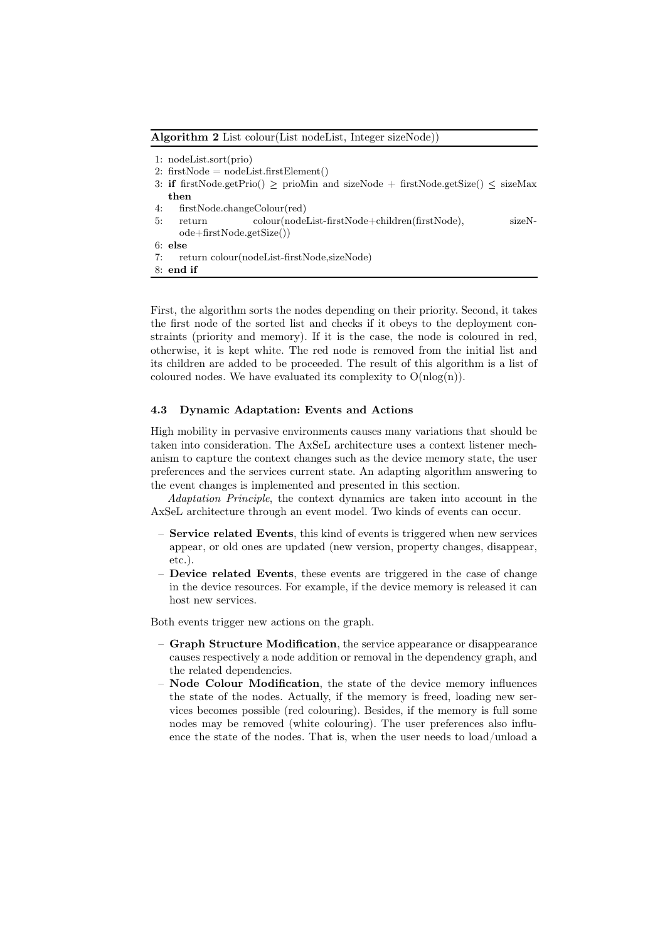Algorithm 2 List colour(List nodeList, Integer sizeNode))

```
1: nodeList.sort(prio)
```
- 2: firstNode =  $nodeList-firstElement()$
- 3: if firstNode.getPrio()  $\ge$  prioMin and sizeNode + firstNode.getSize()  $\le$  sizeMax then
- 4: firstNode.changeColour(red)
- 5: return colour(nodeList-firstNode+children(firstNode), sizeNode+firstNode.getSize())
- 6: else
- 7: return colour(nodeList-firstNode,sizeNode)

```
8: end if
```
First, the algorithm sorts the nodes depending on their priority. Second, it takes the first node of the sorted list and checks if it obeys to the deployment constraints (priority and memory). If it is the case, the node is coloured in red, otherwise, it is kept white. The red node is removed from the initial list and its children are added to be proceeded. The result of this algorithm is a list of coloured nodes. We have evaluated its complexity to  $O(n \log(n))$ .

### 4.3 Dynamic Adaptation: Events and Actions

High mobility in pervasive environments causes many variations that should be taken into consideration. The AxSeL architecture uses a context listener mechanism to capture the context changes such as the device memory state, the user preferences and the services current state. An adapting algorithm answering to the event changes is implemented and presented in this section.

Adaptation Principle, the context dynamics are taken into account in the AxSeL architecture through an event model. Two kinds of events can occur.

- Service related Events, this kind of events is triggered when new services appear, or old ones are updated (new version, property changes, disappear, etc.).
- Device related Events, these events are triggered in the case of change in the device resources. For example, if the device memory is released it can host new services.

Both events trigger new actions on the graph.

- Graph Structure Modification, the service appearance or disappearance causes respectively a node addition or removal in the dependency graph, and the related dependencies.
- Node Colour Modification, the state of the device memory influences the state of the nodes. Actually, if the memory is freed, loading new services becomes possible (red colouring). Besides, if the memory is full some nodes may be removed (white colouring). The user preferences also influence the state of the nodes. That is, when the user needs to load/unload a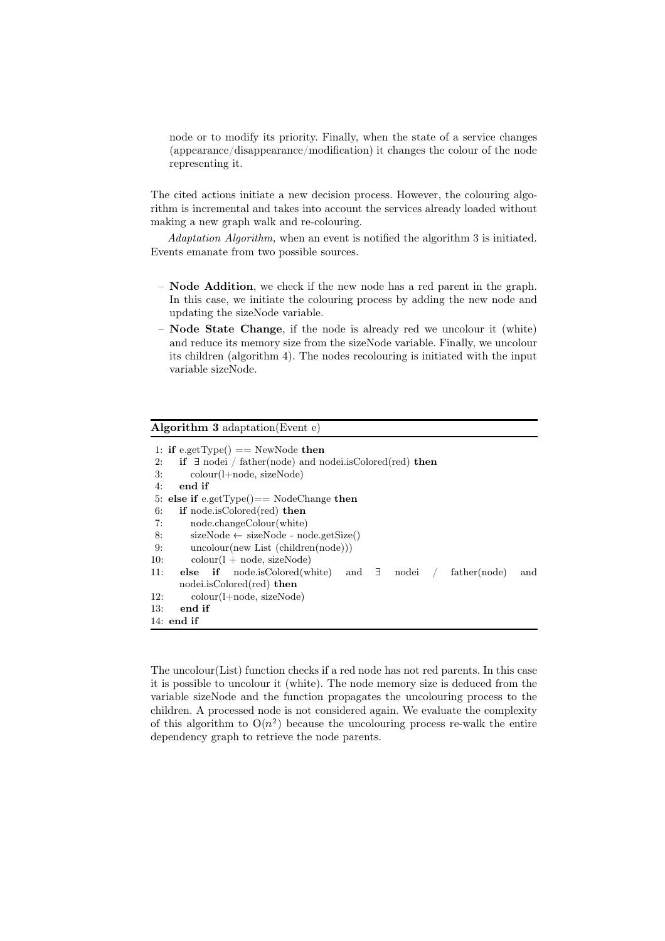node or to modify its priority. Finally, when the state of a service changes (appearance/disappearance/modification) it changes the colour of the node representing it.

The cited actions initiate a new decision process. However, the colouring algorithm is incremental and takes into account the services already loaded without making a new graph walk and re-colouring.

Adaptation Algorithm, when an event is notified the algorithm 3 is initiated. Events emanate from two possible sources.

- Node Addition, we check if the new node has a red parent in the graph. In this case, we initiate the colouring process by adding the new node and updating the sizeNode variable.
- Node State Change, if the node is already red we uncolour it (white) and reduce its memory size from the sizeNode variable. Finally, we uncolour its children (algorithm 4). The nodes recolouring is initiated with the input variable sizeNode.

# Algorithm 3 adaptation(Event e)

|     | 1: if e.getType() $==$ NewNode then                                               |  |  |  |  |  |
|-----|-----------------------------------------------------------------------------------|--|--|--|--|--|
| 2:  | <b>if</b> $\exists$ nodei / father(node) and nodei.isColored(red) <b>then</b>     |  |  |  |  |  |
| 3:  | $\text{colour}(l + \text{node}, \text{sizeNode})$                                 |  |  |  |  |  |
| 4:  | end if                                                                            |  |  |  |  |  |
|     | 5: else if e.getType()== $NodeChange$ then                                        |  |  |  |  |  |
| 6:  | <b>if</b> node.isColored(red) <b>then</b>                                         |  |  |  |  |  |
| 7:  | node.changeColour(white)                                                          |  |  |  |  |  |
| 8:  | $sizeNode \leftarrow sizeNode - node.getSize()$                                   |  |  |  |  |  |
| 9:  | uncolour(new List (children(node)))                                               |  |  |  |  |  |
| 10: | $\text{colour}(l + \text{node}, \text{sizeNode})$                                 |  |  |  |  |  |
| 11: | <b>else</b> if node.isColored(white) and $\exists$ nodei /<br>father(node)<br>and |  |  |  |  |  |
|     | nodei.isColored(red) then                                                         |  |  |  |  |  |
| 12: | $\text{colour}(l + \text{node}, \text{sizeNode})$                                 |  |  |  |  |  |
| 13: | end if                                                                            |  |  |  |  |  |
|     | $14:$ end if                                                                      |  |  |  |  |  |

The uncolour(List) function checks if a red node has not red parents. In this case it is possible to uncolour it (white). The node memory size is deduced from the variable sizeNode and the function propagates the uncolouring process to the children. A processed node is not considered again. We evaluate the complexity of this algorithm to  $O(n^2)$  because the uncolouring process re-walk the entire dependency graph to retrieve the node parents.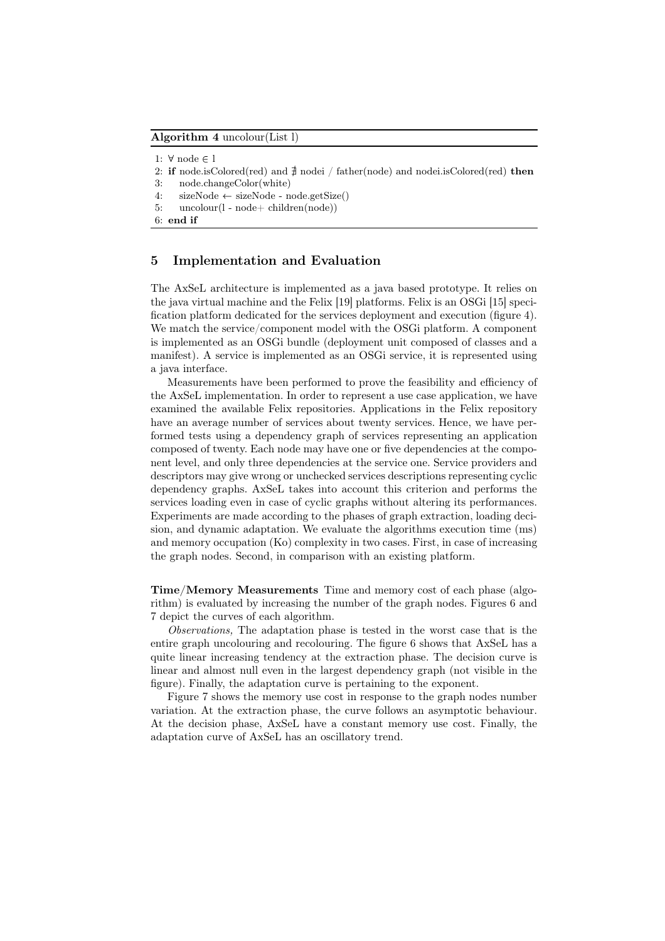```
1: \forall node \in l
```
- 2: if node.isColored(red) and  $\sharp$  nodei / father(node) and nodei.isColored(red) then
- 3: node.changeColor(white)
- 4:  $sizeNode \leftarrow sizeNode node.getSize()$
- 5: uncolour $(l node + children(node))$
- 6: end if

# 5 Implementation and Evaluation

The AxSeL architecture is implemented as a java based prototype. It relies on the java virtual machine and the Felix [19] platforms. Felix is an OSGi [15] specification platform dedicated for the services deployment and execution (figure 4). We match the service/component model with the OSGi platform. A component is implemented as an OSGi bundle (deployment unit composed of classes and a manifest). A service is implemented as an OSGi service, it is represented using a java interface.

Measurements have been performed to prove the feasibility and efficiency of the AxSeL implementation. In order to represent a use case application, we have examined the available Felix repositories. Applications in the Felix repository have an average number of services about twenty services. Hence, we have performed tests using a dependency graph of services representing an application composed of twenty. Each node may have one or five dependencies at the component level, and only three dependencies at the service one. Service providers and descriptors may give wrong or unchecked services descriptions representing cyclic dependency graphs. AxSeL takes into account this criterion and performs the services loading even in case of cyclic graphs without altering its performances. Experiments are made according to the phases of graph extraction, loading decision, and dynamic adaptation. We evaluate the algorithms execution time (ms) and memory occupation (Ko) complexity in two cases. First, in case of increasing the graph nodes. Second, in comparison with an existing platform.

Time/Memory Measurements Time and memory cost of each phase (algorithm) is evaluated by increasing the number of the graph nodes. Figures 6 and 7 depict the curves of each algorithm.

Observations, The adaptation phase is tested in the worst case that is the entire graph uncolouring and recolouring. The figure 6 shows that AxSeL has a quite linear increasing tendency at the extraction phase. The decision curve is linear and almost null even in the largest dependency graph (not visible in the figure). Finally, the adaptation curve is pertaining to the exponent.

Figure 7 shows the memory use cost in response to the graph nodes number variation. At the extraction phase, the curve follows an asymptotic behaviour. At the decision phase, AxSeL have a constant memory use cost. Finally, the adaptation curve of AxSeL has an oscillatory trend.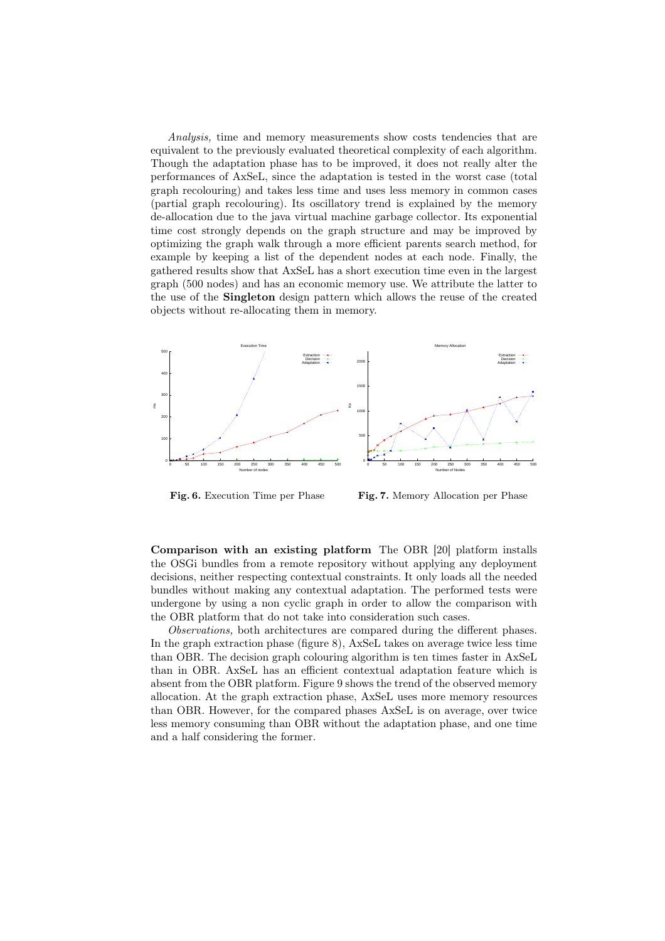Analysis, time and memory measurements show costs tendencies that are equivalent to the previously evaluated theoretical complexity of each algorithm. Though the adaptation phase has to be improved, it does not really alter the performances of AxSeL, since the adaptation is tested in the worst case (total graph recolouring) and takes less time and uses less memory in common cases (partial graph recolouring). Its oscillatory trend is explained by the memory de-allocation due to the java virtual machine garbage collector. Its exponential time cost strongly depends on the graph structure and may be improved by optimizing the graph walk through a more efficient parents search method, for example by keeping a list of the dependent nodes at each node. Finally, the gathered results show that AxSeL has a short execution time even in the largest graph (500 nodes) and has an economic memory use. We attribute the latter to the use of the Singleton design pattern which allows the reuse of the created objects without re-allocating them in memory.



Fig. 6. Execution Time per Phase

Fig. 7. Memory Allocation per Phase

Comparison with an existing platform The OBR [20] platform installs the OSGi bundles from a remote repository without applying any deployment decisions, neither respecting contextual constraints. It only loads all the needed bundles without making any contextual adaptation. The performed tests were undergone by using a non cyclic graph in order to allow the comparison with the OBR platform that do not take into consideration such cases.

Observations, both architectures are compared during the different phases. In the graph extraction phase (figure 8), AxSeL takes on average twice less time than OBR. The decision graph colouring algorithm is ten times faster in AxSeL than in OBR. AxSeL has an efficient contextual adaptation feature which is absent from the OBR platform. Figure 9 shows the trend of the observed memory allocation. At the graph extraction phase, AxSeL uses more memory resources than OBR. However, for the compared phases AxSeL is on average, over twice less memory consuming than OBR without the adaptation phase, and one time and a half considering the former.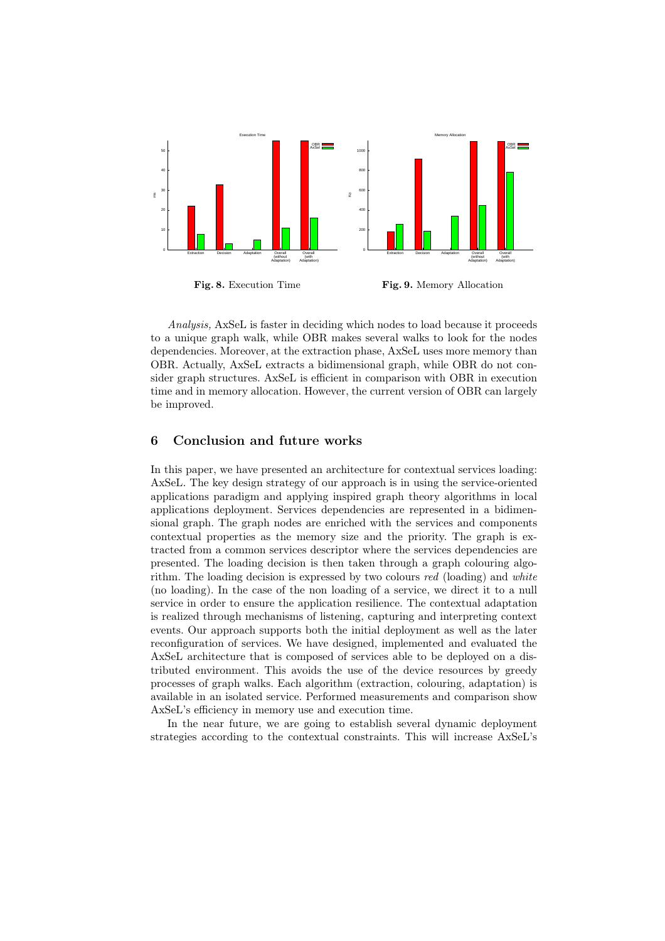

Analysis, AxSeL is faster in deciding which nodes to load because it proceeds to a unique graph walk, while OBR makes several walks to look for the nodes dependencies. Moreover, at the extraction phase, AxSeL uses more memory than OBR. Actually, AxSeL extracts a bidimensional graph, while OBR do not consider graph structures. AxSeL is efficient in comparison with OBR in execution time and in memory allocation. However, the current version of OBR can largely be improved.

## 6 Conclusion and future works

In this paper, we have presented an architecture for contextual services loading: AxSeL. The key design strategy of our approach is in using the service-oriented applications paradigm and applying inspired graph theory algorithms in local applications deployment. Services dependencies are represented in a bidimensional graph. The graph nodes are enriched with the services and components contextual properties as the memory size and the priority. The graph is extracted from a common services descriptor where the services dependencies are presented. The loading decision is then taken through a graph colouring algorithm. The loading decision is expressed by two colours red (loading) and white (no loading). In the case of the non loading of a service, we direct it to a null service in order to ensure the application resilience. The contextual adaptation is realized through mechanisms of listening, capturing and interpreting context events. Our approach supports both the initial deployment as well as the later reconfiguration of services. We have designed, implemented and evaluated the AxSeL architecture that is composed of services able to be deployed on a distributed environment. This avoids the use of the device resources by greedy processes of graph walks. Each algorithm (extraction, colouring, adaptation) is available in an isolated service. Performed measurements and comparison show AxSeL's efficiency in memory use and execution time.

In the near future, we are going to establish several dynamic deployment strategies according to the contextual constraints. This will increase AxSeL's